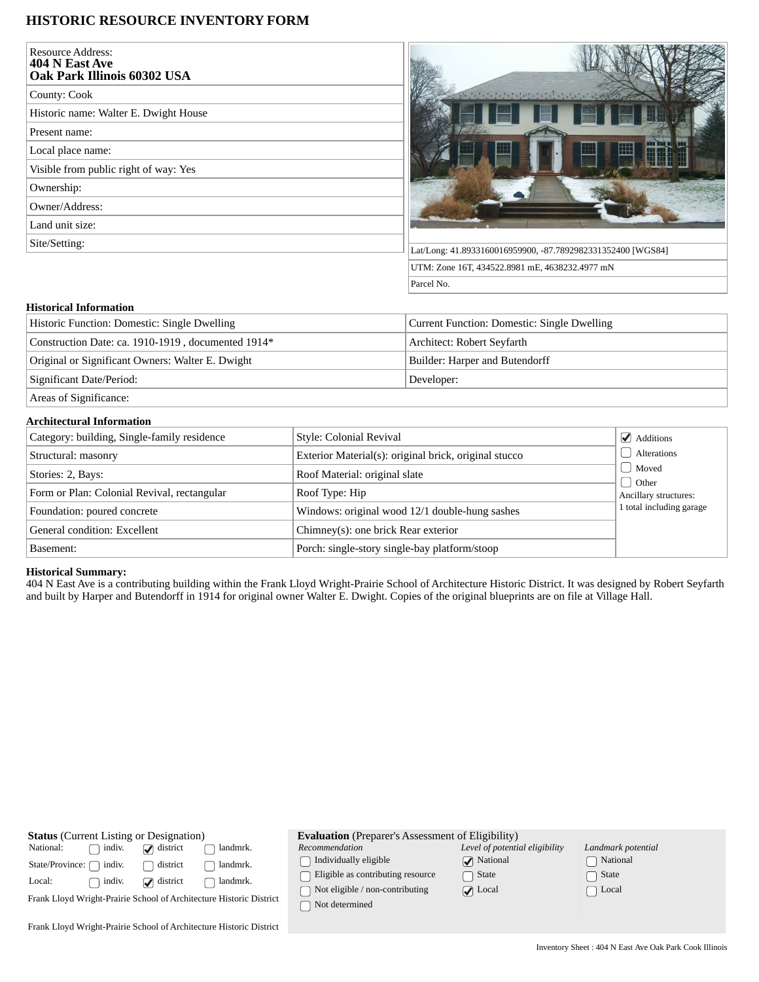# **HISTORIC RESOURCE INVENTORY FORM**

| <b>Resource Address:</b><br>404 N East Ave<br>Oak Park Illinois 60302 USA |                                                                                                                                                                                                                                                                                                                                                                                              |
|---------------------------------------------------------------------------|----------------------------------------------------------------------------------------------------------------------------------------------------------------------------------------------------------------------------------------------------------------------------------------------------------------------------------------------------------------------------------------------|
| County: Cook                                                              | $\frac{1}{2} \frac{1}{2} \frac{1}{2} \frac{1}{2} \frac{1}{2} \frac{1}{2} \frac{1}{2} \frac{1}{2} \frac{1}{2} \frac{1}{2} \frac{1}{2} \frac{1}{2} \frac{1}{2} \frac{1}{2} \frac{1}{2} \frac{1}{2} \frac{1}{2} \frac{1}{2} \frac{1}{2} \frac{1}{2} \frac{1}{2} \frac{1}{2} \frac{1}{2} \frac{1}{2} \frac{1}{2} \frac{1}{2} \frac{1}{2} \frac{1}{2} \frac{1}{2} \frac{1}{2} \frac{1}{2} \frac{$ |
| Historic name: Walter E. Dwight House                                     |                                                                                                                                                                                                                                                                                                                                                                                              |
| Present name:                                                             |                                                                                                                                                                                                                                                                                                                                                                                              |
| Local place name:                                                         | Æ                                                                                                                                                                                                                                                                                                                                                                                            |
| Visible from public right of way: Yes                                     |                                                                                                                                                                                                                                                                                                                                                                                              |
| Ownership:                                                                |                                                                                                                                                                                                                                                                                                                                                                                              |
| Owner/Address:                                                            |                                                                                                                                                                                                                                                                                                                                                                                              |
| Land unit size:                                                           |                                                                                                                                                                                                                                                                                                                                                                                              |
| Site/Setting:                                                             | Lat/Long: 41.8933160016959900, -87.7892982331352400 [WGS84]                                                                                                                                                                                                                                                                                                                                  |
|                                                                           | UTM: Zone 16T, 434522.8981 mE, 4638232.4977 mN                                                                                                                                                                                                                                                                                                                                               |
|                                                                           | Parcel No.                                                                                                                                                                                                                                                                                                                                                                                   |

## **Historical Information**

| Historic Function: Domestic: Single Dwelling            | Current Function: Domestic: Single Dwelling |
|---------------------------------------------------------|---------------------------------------------|
| Construction Date: ca. 1910-1919, documented 1914*      | Architect: Robert Seyfarth                  |
| Original or Significant Owners: Walter E. Dwight        | Builder: Harper and Butendorff              |
| Significant Date/Period:                                | Developer:                                  |
| $\sim$ $\sim$ $\sim$ $\sim$ $\sim$ $\sim$ $\sim$ $\sim$ |                                             |

Areas of Significance:

## **Architectural Information**

| Category: building, Single-family residence | Style: Colonial Revival                               | $\triangleleft$ Additions |
|---------------------------------------------|-------------------------------------------------------|---------------------------|
| Structural: masonry                         | Exterior Material(s): original brick, original stucco | Alterations               |
| Stories: 2, Bays:                           | Roof Material: original slate                         | Moved<br>d Other          |
| Form or Plan: Colonial Revival, rectangular | Roof Type: Hip                                        | Ancillary structures:     |
| Foundation: poured concrete                 | Windows: original wood 12/1 double-hung sashes        | 1 total including garage  |
| General condition: Excellent                | Chimney(s): one brick Rear exterior                   |                           |
| Basement:                                   | Porch: single-story single-bay platform/stoop         |                           |

### **Historical Summary:**

404 N East Ave is a contributing building within the Frank Lloyd Wright-Prairie School of Architecture Historic District. It was designed by Robert Seyfarth and built by Harper and Butendorff in 1914 for original owner Walter E. Dwight. Copies of the original blueprints are on file at Village Hall.

| <b>Status</b> (Current Listing or Designation)                      |                   | <b>Evaluation</b> (Preparer's Assessment of Eligibility) |                                                   |                                |                    |
|---------------------------------------------------------------------|-------------------|----------------------------------------------------------|---------------------------------------------------|--------------------------------|--------------------|
| National:<br>indiv.                                                 | $\Box$ district   | landmrk.                                                 | Recommendation                                    | Level of potential eligibility | Landmark potential |
| indiv.<br>State/Province: [                                         | district          | landmrk.                                                 | Individually eligible                             | $\sqrt{\phantom{a}}$ National  | National           |
| indiv.<br>Local:                                                    | $\omega$ district | landmrk.                                                 | Eligible as contributing resource                 | State                          | State              |
| Frank Lloyd Wright-Prairie School of Architecture Historic District |                   |                                                          | Not eligible / non-contributing<br>Not determined | $\sqrt{ }$ Local               | Local              |
| Frank Lloyd Wright-Prairie School of Architecture Historic District |                   |                                                          |                                                   |                                |                    |